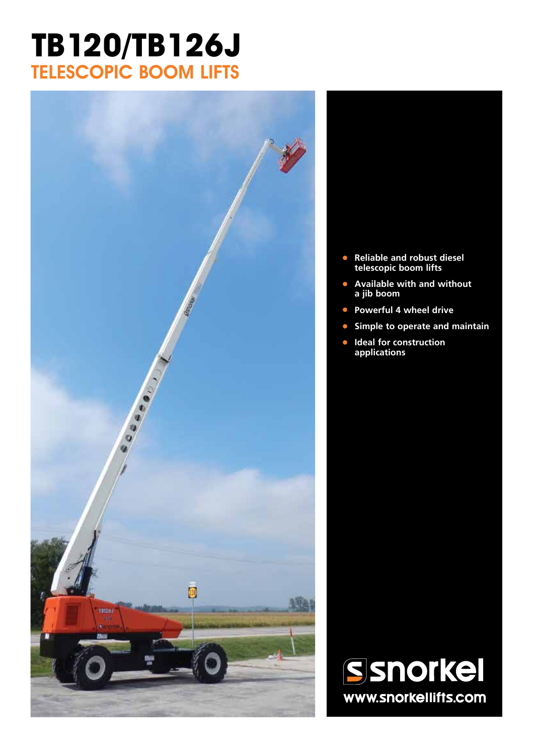# **TB120/TB126J** TELESCOPIC BOOM LIFTS



- **• Reliable and robust diesel telescopic boom lifts**
- **• Available with and without a jib boom**
- **• Powerful 4 wheel drive**
- **• Simple to operate and maintain**
- **• Ideal for construction applications**